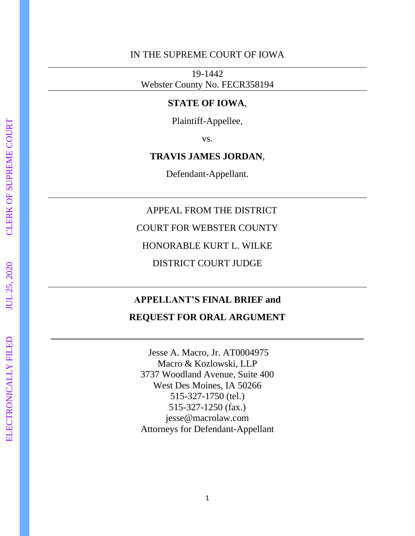#### IN THE SUPREME COURT OF IOWA

19-1442 Webster County No. FECR358194

#### **STATE OF IOWA**,

Plaintiff-Appellee,

vs.

#### **TRAVIS JAMES JORDAN**,

Defendant-Appellant.

#### APPEAL FROM THE DISTRICT

COURT FOR WEBSTER COUNTY

HONORABLE KURT L. WILKE

DISTRICT COURT JUDGE

#### **APPELLANT'S FINAL BRIEF and**

#### **REQUEST FOR ORAL ARGUMENT**

**\_\_\_\_\_\_\_\_\_\_\_\_\_\_\_\_\_\_\_\_\_\_\_\_\_\_\_\_\_\_\_\_\_\_\_\_\_\_\_\_\_\_\_\_\_\_\_\_\_\_\_\_\_\_\_\_\_\_\_\_\_\_\_\_\_\_**

Jesse A. Macro, Jr. AT0004975 Macro & Kozlowski, LLP 3737 Woodland Avenue, Suite 400 West Des Moines, IA 50266 515-327-1750 (tel.) 515-327-1250 (fax.) jesse@macrolaw.com Attorneys for Defendant-Appellant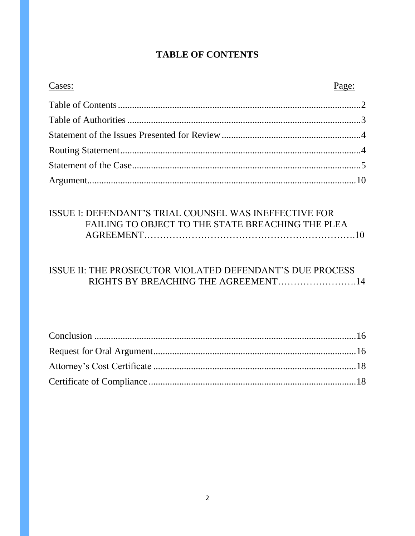## **TABLE OF CONTENTS**

| Cases: | Page: |
|--------|-------|
|        |       |
|        |       |
|        |       |
|        |       |
|        |       |
|        |       |

# ISSUE I: DEFENDANT'S TRIAL COUNSEL WAS INEFFECTIVE FOR FAILING TO OBJECT TO THE STATE BREACHING THE PLEA

# ISSUE II: THE PROSECUTOR VIOLATED DEFENDANT'S DUE PROCESS RIGHTS BY BREACHING THE AGREEMENT.........................14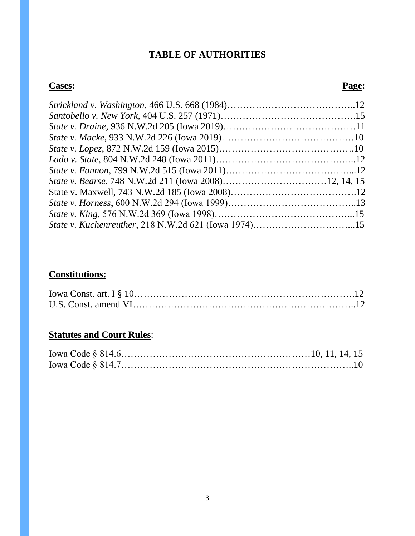## **TABLE OF AUTHORITIES**

#### **Cases: Page:**

# **Constitutions:**

# **Statutes and Court Rules**: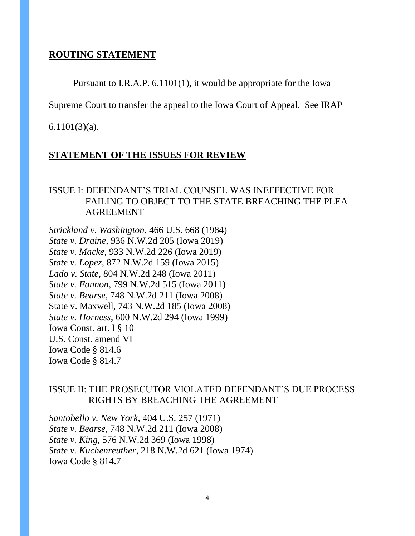#### **ROUTING STATEMENT**

Pursuant to I.R.A.P. 6.1101(1), it would be appropriate for the Iowa

Supreme Court to transfer the appeal to the Iowa Court of Appeal. See IRAP

6.1101(3)(a).

#### **STATEMENT OF THE ISSUES FOR REVIEW**

#### ISSUE I: DEFENDANT'S TRIAL COUNSEL WAS INEFFECTIVE FOR FAILING TO OBJECT TO THE STATE BREACHING THE PLEA AGREEMENT

*Strickland v. Washington*, 466 U.S. 668 (1984) *State v. Draine*, 936 N.W.2d 205 (Iowa 2019) *State v. Macke*, 933 N.W.2d 226 (Iowa 2019) *State v. Lopez*, 872 N.W.2d 159 (Iowa 2015) *Lado v. State*, 804 N.W.2d 248 (Iowa 2011) *State v. Fannon*, 799 N.W.2d 515 (Iowa 2011) *State v. Bearse*, 748 N.W.2d 211 (Iowa 2008) State v. Maxwell, 743 N.W.2d 185 (Iowa 2008) *State v. Horness*, 600 N.W.2d 294 (Iowa 1999) Iowa Const. art. I § 10 U.S. Const. amend VI Iowa Code § 814.6 Iowa Code § 814.7

#### ISSUE II: THE PROSECUTOR VIOLATED DEFENDANT'S DUE PROCESS RIGHTS BY BREACHING THE AGREEMENT

*Santobello v. New York*, 404 U.S. 257 (1971) *State v. Bearse*, 748 N.W.2d 211 (Iowa 2008) *State v. King,* 576 N.W.2d 369 (Iowa 1998) *State v. Kuchenreuther*, 218 N.W.2d 621 (Iowa 1974) Iowa Code § 814.7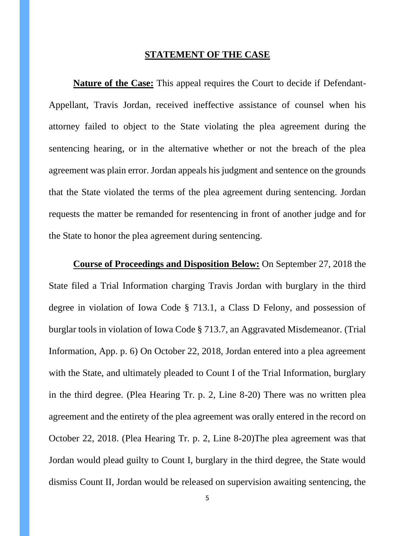#### **STATEMENT OF THE CASE**

**Nature of the Case:** This appeal requires the Court to decide if Defendant-Appellant, Travis Jordan, received ineffective assistance of counsel when his attorney failed to object to the State violating the plea agreement during the sentencing hearing, or in the alternative whether or not the breach of the plea agreement was plain error. Jordan appeals his judgment and sentence on the grounds that the State violated the terms of the plea agreement during sentencing. Jordan requests the matter be remanded for resentencing in front of another judge and for the State to honor the plea agreement during sentencing.

**Course of Proceedings and Disposition Below:** On September 27, 2018 the State filed a Trial Information charging Travis Jordan with burglary in the third degree in violation of Iowa Code § 713.1, a Class D Felony, and possession of burglar tools in violation of Iowa Code § 713.7, an Aggravated Misdemeanor. (Trial Information, App. p. 6) On October 22, 2018, Jordan entered into a plea agreement with the State, and ultimately pleaded to Count I of the Trial Information, burglary in the third degree. (Plea Hearing Tr. p. 2, Line 8-20) There was no written plea agreement and the entirety of the plea agreement was orally entered in the record on October 22, 2018. (Plea Hearing Tr. p. 2, Line 8-20)The plea agreement was that Jordan would plead guilty to Count I, burglary in the third degree, the State would dismiss Count II, Jordan would be released on supervision awaiting sentencing, the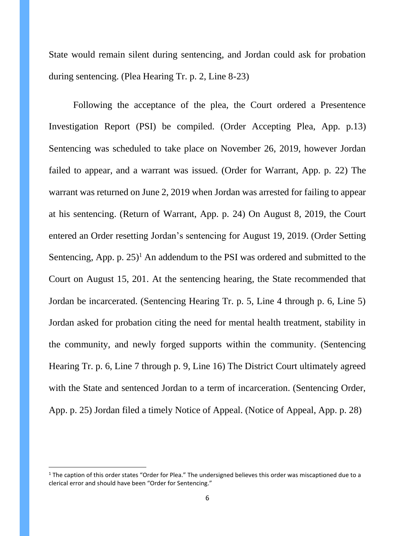State would remain silent during sentencing, and Jordan could ask for probation during sentencing. (Plea Hearing Tr. p. 2, Line 8-23)

Following the acceptance of the plea, the Court ordered a Presentence Investigation Report (PSI) be compiled. (Order Accepting Plea, App. p.13) Sentencing was scheduled to take place on November 26, 2019, however Jordan failed to appear, and a warrant was issued. (Order for Warrant, App. p. 22) The warrant was returned on June 2, 2019 when Jordan was arrested for failing to appear at his sentencing. (Return of Warrant, App. p. 24) On August 8, 2019, the Court entered an Order resetting Jordan's sentencing for August 19, 2019. (Order Setting Sentencing, App. p.  $25$ <sup>1</sup> An addendum to the PSI was ordered and submitted to the Court on August 15, 201. At the sentencing hearing, the State recommended that Jordan be incarcerated. (Sentencing Hearing Tr. p. 5, Line 4 through p. 6, Line 5) Jordan asked for probation citing the need for mental health treatment, stability in the community, and newly forged supports within the community. (Sentencing Hearing Tr. p. 6, Line 7 through p. 9, Line 16) The District Court ultimately agreed with the State and sentenced Jordan to a term of incarceration. (Sentencing Order, App. p. 25) Jordan filed a timely Notice of Appeal. (Notice of Appeal, App. p. 28)

 $1$  The caption of this order states "Order for Plea." The undersigned believes this order was miscaptioned due to a clerical error and should have been "Order for Sentencing."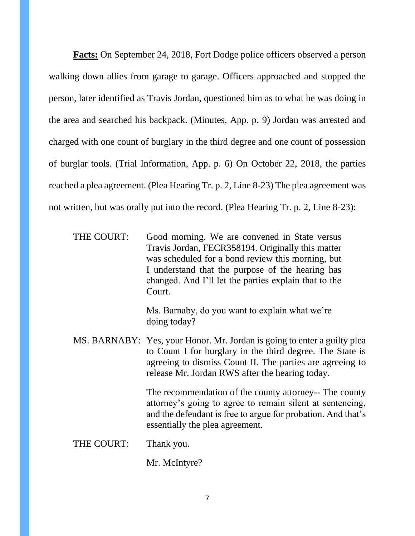**Facts:** On September 24, 2018, Fort Dodge police officers observed a person walking down allies from garage to garage. Officers approached and stopped the person, later identified as Travis Jordan, questioned him as to what he was doing in the area and searched his backpack. (Minutes, App. p. 9) Jordan was arrested and charged with one count of burglary in the third degree and one count of possession of burglar tools. (Trial Information, App. p. 6) On October 22, 2018, the parties reached a plea agreement. (Plea Hearing Tr. p. 2, Line 8-23) The plea agreement was not written, but was orally put into the record. (Plea Hearing Tr. p. 2, Line 8-23):

| THE COURT: | Good morning. We are convened in State versus         |
|------------|-------------------------------------------------------|
|            | Travis Jordan, FECR358194. Originally this matter     |
|            | was scheduled for a bond review this morning, but     |
|            | I understand that the purpose of the hearing has      |
|            | changed. And I'll let the parties explain that to the |
|            | Court.                                                |

Ms. Barnaby, do you want to explain what we're doing today?

MS. BARNABY: Yes, your Honor. Mr. Jordan is going to enter a guilty plea to Count I for burglary in the third degree. The State is agreeing to dismiss Count II. The parties are agreeing to release Mr. Jordan RWS after the hearing today.

> The recommendation of the county attorney-- The county attorney's going to agree to remain silent at sentencing, and the defendant is free to argue for probation. And that's essentially the plea agreement.

THE COURT: Thank you.

Mr. McIntyre?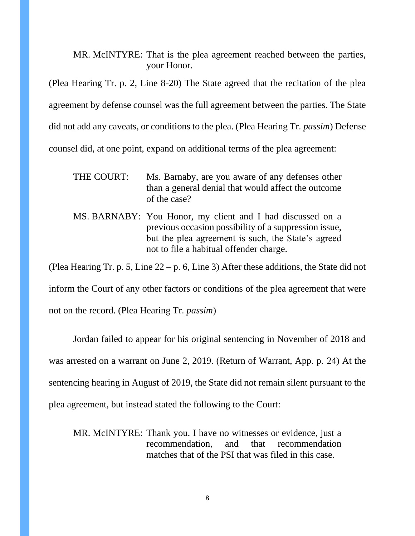#### MR. McINTYRE: That is the plea agreement reached between the parties, your Honor.

(Plea Hearing Tr. p. 2, Line 8-20) The State agreed that the recitation of the plea agreement by defense counsel was the full agreement between the parties. The State did not add any caveats, or conditions to the plea. (Plea Hearing Tr. *passim*) Defense counsel did, at one point, expand on additional terms of the plea agreement:

- THE COURT: Ms. Barnaby, are you aware of any defenses other than a general denial that would affect the outcome of the case?
- MS. BARNABY: You Honor, my client and I had discussed on a previous occasion possibility of a suppression issue, but the plea agreement is such, the State's agreed not to file a habitual offender charge.

(Plea Hearing Tr. p. 5, Line 22 – p. 6, Line 3) After these additions, the State did not

inform the Court of any other factors or conditions of the plea agreement that were

not on the record. (Plea Hearing Tr. *passim*)

Jordan failed to appear for his original sentencing in November of 2018 and was arrested on a warrant on June 2, 2019. (Return of Warrant, App. p. 24) At the sentencing hearing in August of 2019, the State did not remain silent pursuant to the plea agreement, but instead stated the following to the Court:

MR. McINTYRE: Thank you. I have no witnesses or evidence, just a recommendation, and that recommendation matches that of the PSI that was filed in this case.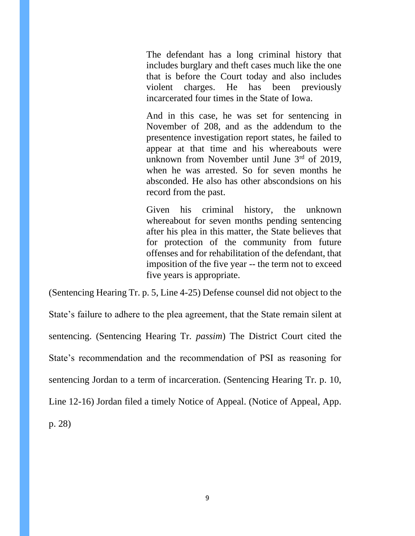The defendant has a long criminal history that includes burglary and theft cases much like the one that is before the Court today and also includes violent charges. He has been previously incarcerated four times in the State of Iowa.

And in this case, he was set for sentencing in November of 208, and as the addendum to the presentence investigation report states, he failed to appear at that time and his whereabouts were unknown from November until June 3<sup>rd</sup> of 2019, when he was arrested. So for seven months he absconded. He also has other abscondsions on his record from the past.

Given his criminal history, the unknown whereabout for seven months pending sentencing after his plea in this matter, the State believes that for protection of the community from future offenses and for rehabilitation of the defendant, that imposition of the five year -- the term not to exceed five years is appropriate.

(Sentencing Hearing Tr. p. 5, Line 4-25) Defense counsel did not object to the State's failure to adhere to the plea agreement, that the State remain silent at sentencing. (Sentencing Hearing Tr. *passim*) The District Court cited the State's recommendation and the recommendation of PSI as reasoning for sentencing Jordan to a term of incarceration. (Sentencing Hearing Tr. p. 10, Line 12-16) Jordan filed a timely Notice of Appeal. (Notice of Appeal, App. p. 28)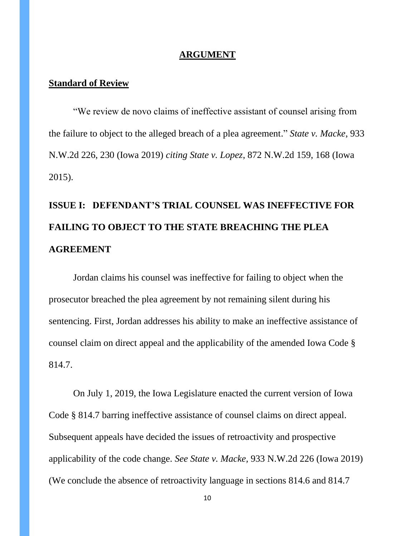#### **ARGUMENT**

#### **Standard of Review**

"We review de novo claims of ineffective assistant of counsel arising from the failure to object to the alleged breach of a plea agreement." *State v. Macke*, 933 N.W.2d 226, 230 (Iowa 2019) *citing State v. Lopez*, 872 N.W.2d 159, 168 (Iowa 2015).

# **ISSUE I: DEFENDANT'S TRIAL COUNSEL WAS INEFFECTIVE FOR FAILING TO OBJECT TO THE STATE BREACHING THE PLEA AGREEMENT**

Jordan claims his counsel was ineffective for failing to object when the prosecutor breached the plea agreement by not remaining silent during his sentencing. First, Jordan addresses his ability to make an ineffective assistance of counsel claim on direct appeal and the applicability of the amended Iowa Code § 814.7.

On July 1, 2019, the Iowa Legislature enacted the current version of Iowa Code § 814.7 barring ineffective assistance of counsel claims on direct appeal. Subsequent appeals have decided the issues of retroactivity and prospective applicability of the code change. *See State v. Macke,* 933 N.W.2d 226 (Iowa 2019) (We conclude the absence of retroactivity language in sections 814.6 and 814.7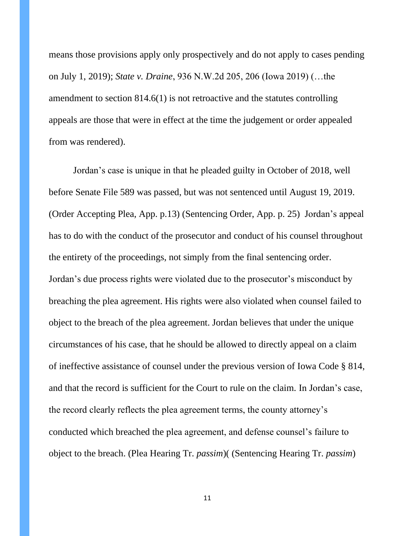means those provisions apply only prospectively and do not apply to cases pending on July 1, 2019); *State v. Draine*, 936 N.W.2d 205, 206 (Iowa 2019) (…the amendment to section 814.6(1) is not retroactive and the statutes controlling appeals are those that were in effect at the time the judgement or order appealed from was rendered).

Jordan's case is unique in that he pleaded guilty in October of 2018, well before Senate File 589 was passed, but was not sentenced until August 19, 2019. (Order Accepting Plea, App. p.13) (Sentencing Order, App. p. 25) Jordan's appeal has to do with the conduct of the prosecutor and conduct of his counsel throughout the entirety of the proceedings, not simply from the final sentencing order. Jordan's due process rights were violated due to the prosecutor's misconduct by breaching the plea agreement. His rights were also violated when counsel failed to object to the breach of the plea agreement. Jordan believes that under the unique circumstances of his case, that he should be allowed to directly appeal on a claim of ineffective assistance of counsel under the previous version of Iowa Code § 814, and that the record is sufficient for the Court to rule on the claim. In Jordan's case, the record clearly reflects the plea agreement terms, the county attorney's conducted which breached the plea agreement, and defense counsel's failure to object to the breach. (Plea Hearing Tr. *passim*)( (Sentencing Hearing Tr. *passim*)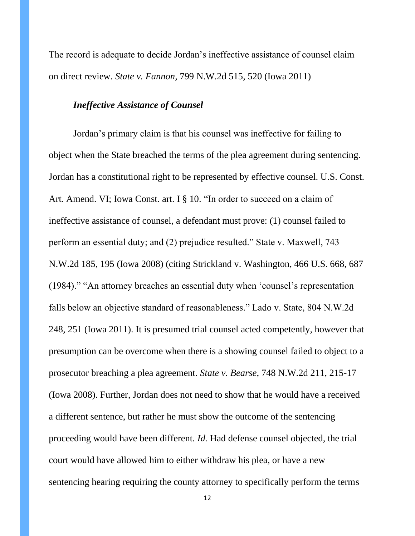The record is adequate to decide Jordan's ineffective assistance of counsel claim on direct review. *State v. Fannon*, 799 N.W.2d 515, 520 (Iowa 2011)

#### *Ineffective Assistance of Counsel*

Jordan's primary claim is that his counsel was ineffective for failing to object when the State breached the terms of the plea agreement during sentencing. Jordan has a constitutional right to be represented by effective counsel. U.S. Const. Art. Amend. VI; Iowa Const. art. I § 10. "In order to succeed on a claim of ineffective assistance of counsel, a defendant must prove: (1) counsel failed to perform an essential duty; and (2) prejudice resulted." State v. Maxwell, 743 N.W.2d 185, 195 (Iowa 2008) (citing Strickland v. Washington, 466 U.S. 668, 687 (1984)." "An attorney breaches an essential duty when 'counsel's representation falls below an objective standard of reasonableness." Lado v. State, 804 N.W.2d 248, 251 (Iowa 2011). It is presumed trial counsel acted competently, however that presumption can be overcome when there is a showing counsel failed to object to a prosecutor breaching a plea agreement. *State v. Bearse*, 748 N.W.2d 211, 215-17 (Iowa 2008). Further, Jordan does not need to show that he would have a received a different sentence, but rather he must show the outcome of the sentencing proceeding would have been different. *Id.* Had defense counsel objected, the trial court would have allowed him to either withdraw his plea, or have a new sentencing hearing requiring the county attorney to specifically perform the terms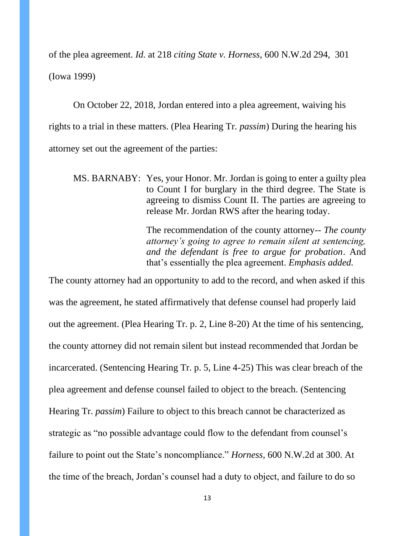of the plea agreement. *Id.* at 218 *citing State v. Horness*, 600 N.W.2d 294, 301 (Iowa 1999)

On October 22, 2018, Jordan entered into a plea agreement, waiving his rights to a trial in these matters. (Plea Hearing Tr. *passim*) During the hearing his attorney set out the agreement of the parties:

MS. BARNABY: Yes, your Honor. Mr. Jordan is going to enter a guilty plea to Count I for burglary in the third degree. The State is agreeing to dismiss Count II. The parties are agreeing to release Mr. Jordan RWS after the hearing today.

> The recommendation of the county attorney-- *The county attorney's going to agree to remain silent at sentencing, and the defendant is free to argue for probation*. And that's essentially the plea agreement. *Emphasis added.*

The county attorney had an opportunity to add to the record, and when asked if this was the agreement, he stated affirmatively that defense counsel had properly laid out the agreement. (Plea Hearing Tr. p. 2, Line 8-20) At the time of his sentencing, the county attorney did not remain silent but instead recommended that Jordan be incarcerated. (Sentencing Hearing Tr. p. 5, Line 4-25) This was clear breach of the plea agreement and defense counsel failed to object to the breach. (Sentencing Hearing Tr. *passim*) Failure to object to this breach cannot be characterized as strategic as "no possible advantage could flow to the defendant from counsel's failure to point out the State's noncompliance." *Horness,* 600 N.W.2d at 300. At the time of the breach, Jordan's counsel had a duty to object, and failure to do so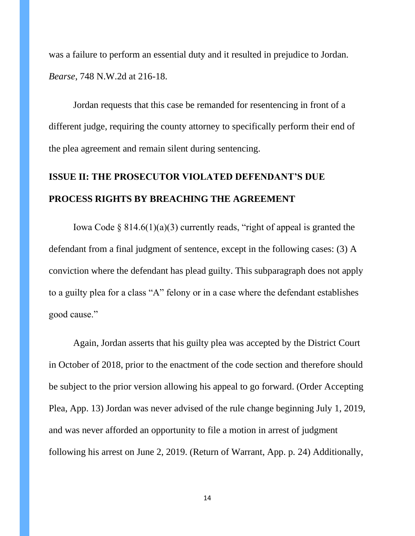was a failure to perform an essential duty and it resulted in prejudice to Jordan. *Bearse*, 748 N.W.2d at 216-18.

Jordan requests that this case be remanded for resentencing in front of a different judge, requiring the county attorney to specifically perform their end of the plea agreement and remain silent during sentencing.

# **ISSUE II: THE PROSECUTOR VIOLATED DEFENDANT'S DUE PROCESS RIGHTS BY BREACHING THE AGREEMENT**

Iowa Code  $\S 814.6(1)(a)(3)$  currently reads, "right of appeal is granted the defendant from a final judgment of sentence, except in the following cases: (3) A conviction where the defendant has plead guilty. This subparagraph does not apply to a guilty plea for a class "A" felony or in a case where the defendant establishes good cause."

Again, Jordan asserts that his guilty plea was accepted by the District Court in October of 2018, prior to the enactment of the code section and therefore should be subject to the prior version allowing his appeal to go forward. (Order Accepting Plea, App. 13) Jordan was never advised of the rule change beginning July 1, 2019, and was never afforded an opportunity to file a motion in arrest of judgment following his arrest on June 2, 2019. (Return of Warrant, App. p. 24) Additionally,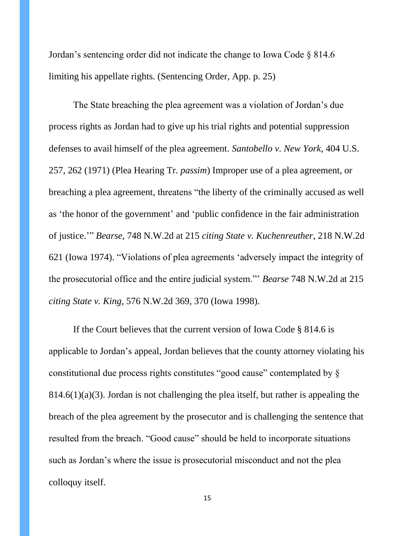Jordan's sentencing order did not indicate the change to Iowa Code § 814.6 limiting his appellate rights. (Sentencing Order, App. p. 25)

The State breaching the plea agreement was a violation of Jordan's due process rights as Jordan had to give up his trial rights and potential suppression defenses to avail himself of the plea agreement. *Santobello v. New York*, 404 U.S. 257, 262 (1971) (Plea Hearing Tr. *passim*) Improper use of a plea agreement, or breaching a plea agreement, threatens "the liberty of the criminally accused as well as 'the honor of the government' and 'public confidence in the fair administration of justice.'" *Bearse,* 748 N.W.2d at 215 *citing State v. Kuchenreuther*, 218 N.W.2d 621 (Iowa 1974). "Violations of plea agreements 'adversely impact the integrity of the prosecutorial office and the entire judicial system."' *Bearse* 748 N.W.2d at 215 *citing State v. King,* 576 N.W.2d 369, 370 (Iowa 1998).

If the Court believes that the current version of Iowa Code § 814.6 is applicable to Jordan's appeal, Jordan believes that the county attorney violating his constitutional due process rights constitutes "good cause" contemplated by §  $814.6(1)(a)(3)$ . Jordan is not challenging the plea itself, but rather is appealing the breach of the plea agreement by the prosecutor and is challenging the sentence that resulted from the breach. "Good cause" should be held to incorporate situations such as Jordan's where the issue is prosecutorial misconduct and not the plea colloquy itself.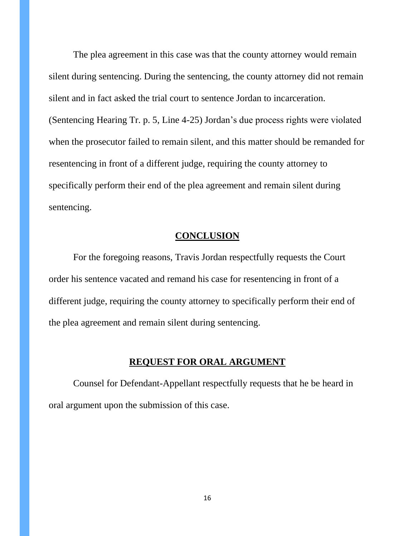The plea agreement in this case was that the county attorney would remain silent during sentencing. During the sentencing, the county attorney did not remain silent and in fact asked the trial court to sentence Jordan to incarceration. (Sentencing Hearing Tr. p. 5, Line 4-25) Jordan's due process rights were violated when the prosecutor failed to remain silent, and this matter should be remanded for resentencing in front of a different judge, requiring the county attorney to specifically perform their end of the plea agreement and remain silent during sentencing.

#### **CONCLUSION**

For the foregoing reasons, Travis Jordan respectfully requests the Court order his sentence vacated and remand his case for resentencing in front of a different judge, requiring the county attorney to specifically perform their end of the plea agreement and remain silent during sentencing.

#### **REQUEST FOR ORAL ARGUMENT**

Counsel for Defendant-Appellant respectfully requests that he be heard in oral argument upon the submission of this case.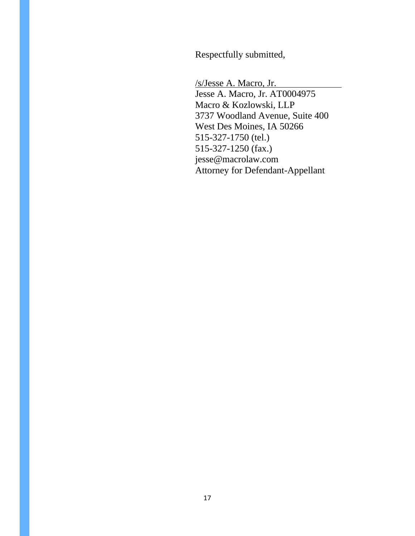Respectfully submitted,

/s/Jesse A. Macro, Jr. Jesse A. Macro, Jr. AT0004975 Macro & Kozlowski, LLP 3737 Woodland Avenue, Suite 400 West Des Moines, IA 50266 515-327-1750 (tel.) 515-327-1250 (fax.) jesse@macrolaw.com Attorney for Defendant-Appellant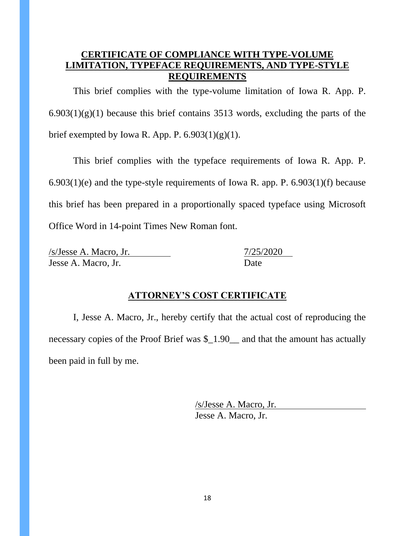#### **CERTIFICATE OF COMPLIANCE WITH TYPE-VOLUME LIMITATION, TYPEFACE REQUIREMENTS, AND TYPE-STYLE REQUIREMENTS**

This brief complies with the type-volume limitation of Iowa R. App. P.  $6.903(1)(g)(1)$  because this brief contains 3513 words, excluding the parts of the brief exempted by Iowa R. App. P.  $6.903(1)(g)(1)$ .

This brief complies with the typeface requirements of Iowa R. App. P. 6.903(1)(e) and the type-style requirements of Iowa R. app. P. 6.903(1)(f) because this brief has been prepared in a proportionally spaced typeface using Microsoft Office Word in 14-point Times New Roman font.

/s/Jesse A. Macro, Jr. 7/25/2020 Jesse A. Macro, Jr. Date

### **ATTORNEY'S COST CERTIFICATE**

I, Jesse A. Macro, Jr., hereby certify that the actual cost of reproducing the necessary copies of the Proof Brief was \$\_1.90\_\_ and that the amount has actually been paid in full by me.

> /s/Jesse A. Macro, Jr. Jesse A. Macro, Jr.